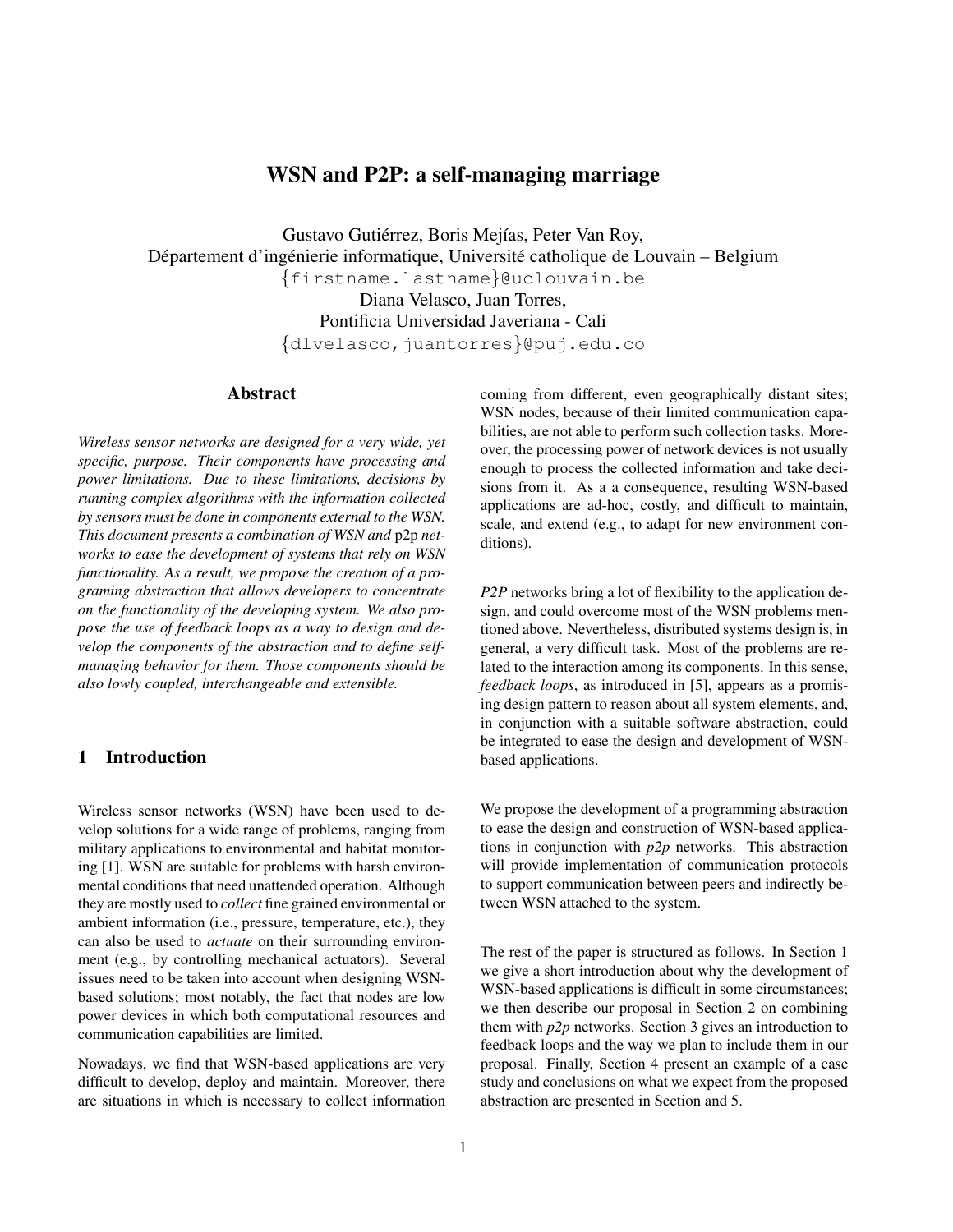# WSN and P2P: a self-managing marriage

Gustavo Gutiérrez, Boris Mejías, Peter Van Roy, Département d'ingénierie informatique, Université catholique de Louvain – Belgium {firstname.lastname}@uclouvain.be Diana Velasco, Juan Torres, Pontificia Universidad Javeriana - Cali {dlvelasco,juantorres}@puj.edu.co

### Abstract

*Wireless sensor networks are designed for a very wide, yet specific, purpose. Their components have processing and power limitations. Due to these limitations, decisions by running complex algorithms with the information collected by sensors must be done in components external to the WSN. This document presents a combination of WSN and* p2p *networks to ease the development of systems that rely on WSN functionality. As a result, we propose the creation of a programing abstraction that allows developers to concentrate on the functionality of the developing system. We also propose the use of feedback loops as a way to design and develop the components of the abstraction and to define selfmanaging behavior for them. Those components should be also lowly coupled, interchangeable and extensible.*

## 1 Introduction

Wireless sensor networks (WSN) have been used to develop solutions for a wide range of problems, ranging from military applications to environmental and habitat monitoring [1]. WSN are suitable for problems with harsh environmental conditions that need unattended operation. Although they are mostly used to *collect* fine grained environmental or ambient information (i.e., pressure, temperature, etc.), they can also be used to *actuate* on their surrounding environment (e.g., by controlling mechanical actuators). Several issues need to be taken into account when designing WSNbased solutions; most notably, the fact that nodes are low power devices in which both computational resources and communication capabilities are limited.

Nowadays, we find that WSN-based applications are very difficult to develop, deploy and maintain. Moreover, there are situations in which is necessary to collect information coming from different, even geographically distant sites; WSN nodes, because of their limited communication capabilities, are not able to perform such collection tasks. Moreover, the processing power of network devices is not usually enough to process the collected information and take decisions from it. As a a consequence, resulting WSN-based applications are ad-hoc, costly, and difficult to maintain, scale, and extend (e.g., to adapt for new environment conditions).

*P2P* networks bring a lot of flexibility to the application design, and could overcome most of the WSN problems mentioned above. Nevertheless, distributed systems design is, in general, a very difficult task. Most of the problems are related to the interaction among its components. In this sense, *feedback loops*, as introduced in [5], appears as a promising design pattern to reason about all system elements, and, in conjunction with a suitable software abstraction, could be integrated to ease the design and development of WSNbased applications.

We propose the development of a programming abstraction to ease the design and construction of WSN-based applications in conjunction with *p2p* networks. This abstraction will provide implementation of communication protocols to support communication between peers and indirectly between WSN attached to the system.

The rest of the paper is structured as follows. In Section 1 we give a short introduction about why the development of WSN-based applications is difficult in some circumstances; we then describe our proposal in Section 2 on combining them with *p2p* networks. Section 3 gives an introduction to feedback loops and the way we plan to include them in our proposal. Finally, Section 4 present an example of a case study and conclusions on what we expect from the proposed abstraction are presented in Section and 5.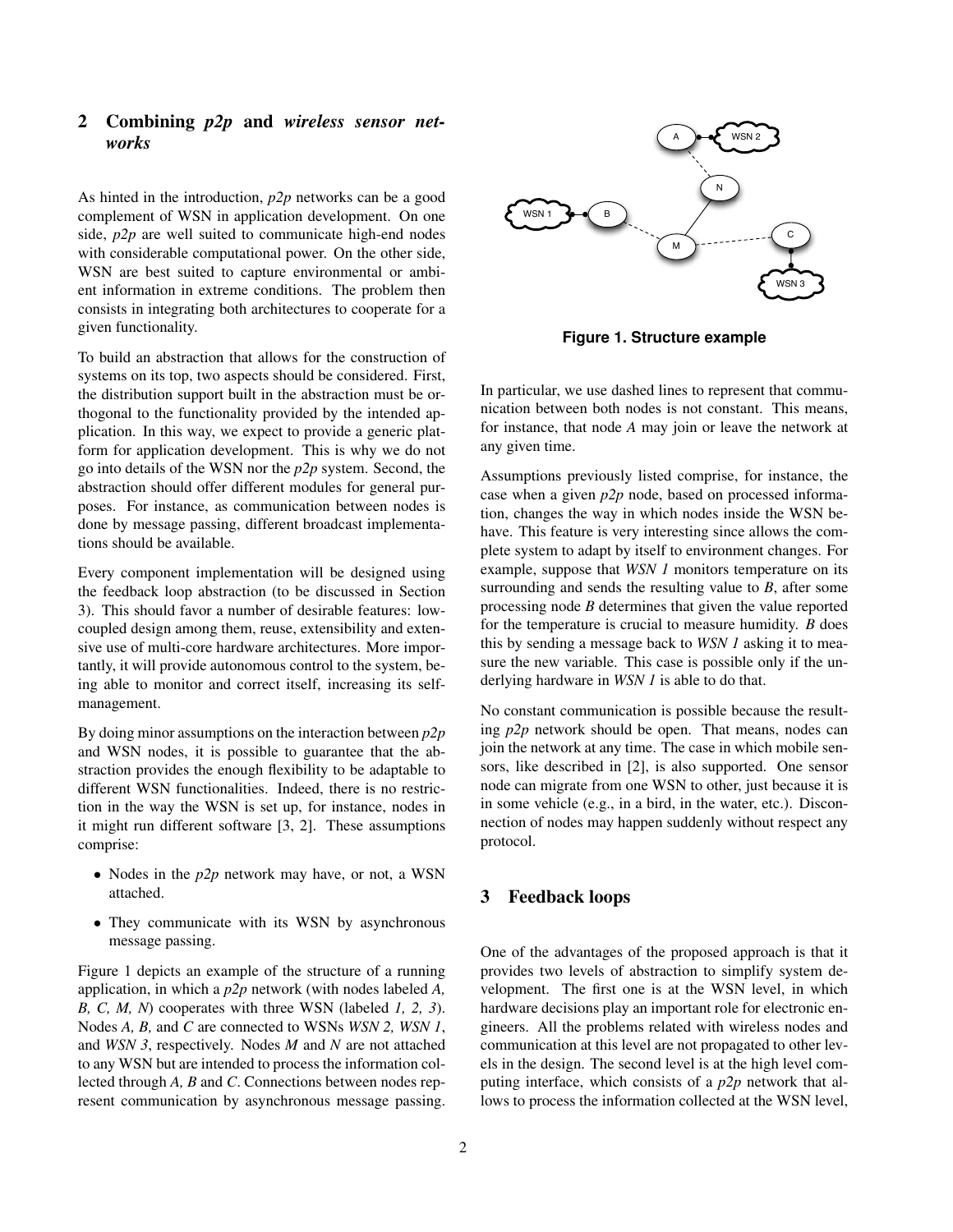## 2 Combining *p2p* and *wireless sensor networks*

As hinted in the introduction, *p2p* networks can be a good complement of WSN in application development. On one side, *p2p* are well suited to communicate high-end nodes with considerable computational power. On the other side, WSN are best suited to capture environmental or ambient information in extreme conditions. The problem then consists in integrating both architectures to cooperate for a given functionality.

To build an abstraction that allows for the construction of systems on its top, two aspects should be considered. First, the distribution support built in the abstraction must be orthogonal to the functionality provided by the intended application. In this way, we expect to provide a generic platform for application development. This is why we do not go into details of the WSN nor the *p2p* system. Second, the abstraction should offer different modules for general purposes. For instance, as communication between nodes is done by message passing, different broadcast implementations should be available.

Every component implementation will be designed using the feedback loop abstraction (to be discussed in Section 3). This should favor a number of desirable features: lowcoupled design among them, reuse, extensibility and extensive use of multi-core hardware architectures. More importantly, it will provide autonomous control to the system, being able to monitor and correct itself, increasing its selfmanagement.

By doing minor assumptions on the interaction between *p2p* and WSN nodes, it is possible to guarantee that the abstraction provides the enough flexibility to be adaptable to different WSN functionalities. Indeed, there is no restriction in the way the WSN is set up, for instance, nodes in it might run different software [3, 2]. These assumptions comprise:

- Nodes in the *p2p* network may have, or not, a WSN attached.
- They communicate with its WSN by asynchronous message passing.

Figure 1 depicts an example of the structure of a running application, in which a *p2p* network (with nodes labeled *A, B, C, M, N*) cooperates with three WSN (labeled *1, 2, 3*). Nodes *A, B,* and *C* are connected to WSNs *WSN 2, WSN 1*, and *WSN 3*, respectively. Nodes *M* and *N* are not attached to any WSN but are intended to process the information collected through *A, B* and *C*. Connections between nodes represent communication by asynchronous message passing.



**Figure 1. Structure example**

In particular, we use dashed lines to represent that communication between both nodes is not constant. This means, for instance, that node *A* may join or leave the network at any given time.

Assumptions previously listed comprise, for instance, the case when a given *p2p* node, based on processed information, changes the way in which nodes inside the WSN behave. This feature is very interesting since allows the complete system to adapt by itself to environment changes. For example, suppose that *WSN 1* monitors temperature on its surrounding and sends the resulting value to *B*, after some processing node *B* determines that given the value reported for the temperature is crucial to measure humidity. *B* does this by sending a message back to *WSN 1* asking it to measure the new variable. This case is possible only if the underlying hardware in *WSN 1* is able to do that.

No constant communication is possible because the resulting *p2p* network should be open. That means, nodes can join the network at any time. The case in which mobile sensors, like described in [2], is also supported. One sensor node can migrate from one WSN to other, just because it is in some vehicle (e.g., in a bird, in the water, etc.). Disconnection of nodes may happen suddenly without respect any protocol.

#### 3 Feedback loops

One of the advantages of the proposed approach is that it provides two levels of abstraction to simplify system development. The first one is at the WSN level, in which hardware decisions play an important role for electronic engineers. All the problems related with wireless nodes and communication at this level are not propagated to other levels in the design. The second level is at the high level computing interface, which consists of a *p2p* network that allows to process the information collected at the WSN level,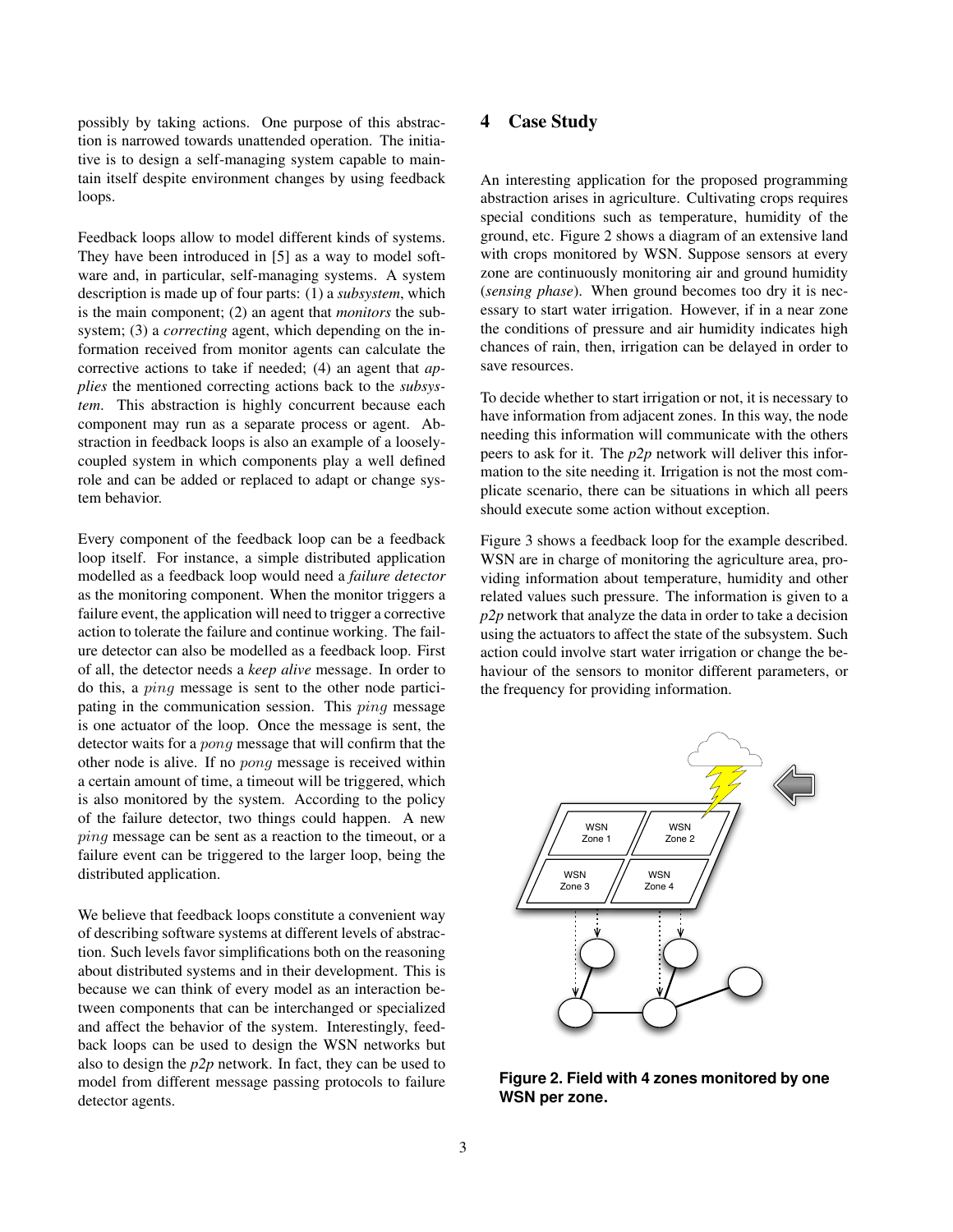possibly by taking actions. One purpose of this abstraction is narrowed towards unattended operation. The initiative is to design a self-managing system capable to maintain itself despite environment changes by using feedback loops.

Feedback loops allow to model different kinds of systems. They have been introduced in [5] as a way to model software and, in particular, self-managing systems. A system description is made up of four parts: (1) a *subsystem*, which is the main component; (2) an agent that *monitors* the subsystem; (3) a *correcting* agent, which depending on the information received from monitor agents can calculate the corrective actions to take if needed; (4) an agent that *applies* the mentioned correcting actions back to the *subsystem*. This abstraction is highly concurrent because each component may run as a separate process or agent. Abstraction in feedback loops is also an example of a looselycoupled system in which components play a well defined role and can be added or replaced to adapt or change system behavior.

Every component of the feedback loop can be a feedback loop itself. For instance, a simple distributed application modelled as a feedback loop would need a *failure detector* as the monitoring component. When the monitor triggers a failure event, the application will need to trigger a corrective action to tolerate the failure and continue working. The failure detector can also be modelled as a feedback loop. First of all, the detector needs a *keep alive* message. In order to do this, a ping message is sent to the other node participating in the communication session. This *ping* message is one actuator of the loop. Once the message is sent, the detector waits for a pong message that will confirm that the other node is alive. If no pong message is received within a certain amount of time, a timeout will be triggered, which is also monitored by the system. According to the policy of the failure detector, two things could happen. A new ping message can be sent as a reaction to the timeout, or a failure event can be triggered to the larger loop, being the distributed application.

We believe that feedback loops constitute a convenient way of describing software systems at different levels of abstraction. Such levels favor simplifications both on the reasoning about distributed systems and in their development. This is because we can think of every model as an interaction between components that can be interchanged or specialized and affect the behavior of the system. Interestingly, feedback loops can be used to design the WSN networks but also to design the *p2p* network. In fact, they can be used to model from different message passing protocols to failure detector agents.

#### 4 Case Study

An interesting application for the proposed programming abstraction arises in agriculture. Cultivating crops requires special conditions such as temperature, humidity of the ground, etc. Figure 2 shows a diagram of an extensive land with crops monitored by WSN. Suppose sensors at every zone are continuously monitoring air and ground humidity (*sensing phase*). When ground becomes too dry it is necessary to start water irrigation. However, if in a near zone the conditions of pressure and air humidity indicates high chances of rain, then, irrigation can be delayed in order to save resources.

To decide whether to start irrigation or not, it is necessary to have information from adjacent zones. In this way, the node needing this information will communicate with the others peers to ask for it. The *p2p* network will deliver this information to the site needing it. Irrigation is not the most complicate scenario, there can be situations in which all peers should execute some action without exception.

Figure 3 shows a feedback loop for the example described. WSN are in charge of monitoring the agriculture area, providing information about temperature, humidity and other related values such pressure. The information is given to a *p2p* network that analyze the data in order to take a decision using the actuators to affect the state of the subsystem. Such action could involve start water irrigation or change the behaviour of the sensors to monitor different parameters, or the frequency for providing information.



**Figure 2. Field with 4 zones monitored by one WSN per zone.**